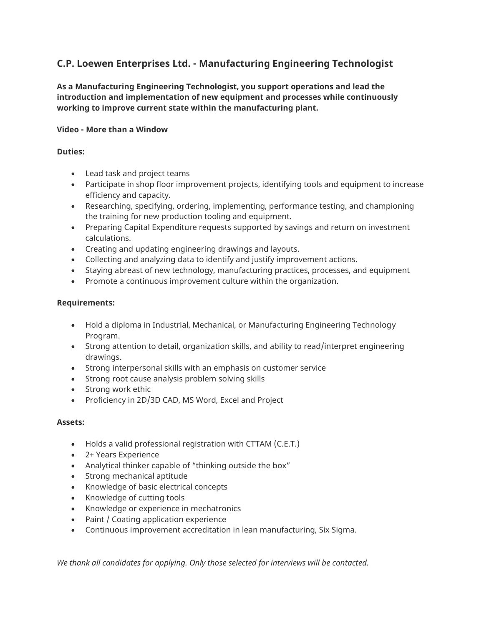# **C.P. Loewen Enterprises Ltd. - Manufacturing Engineering Technologist**

**As a Manufacturing Engineering Technologist, you support operations and lead the introduction and implementation of new equipment and processes while continuously working to improve current state within the manufacturing plant.**

## **Video - More than a Window**

## **Duties:**

- Lead task and project teams
- Participate in shop floor improvement projects, identifying tools and equipment to increase efficiency and capacity.
- Researching, specifying, ordering, implementing, performance testing, and championing the training for new production tooling and equipment.
- Preparing Capital Expenditure requests supported by savings and return on investment calculations.
- Creating and updating engineering drawings and layouts.
- Collecting and analyzing data to identify and justify improvement actions.
- Staying abreast of new technology, manufacturing practices, processes, and equipment
- Promote a continuous improvement culture within the organization.

### **Requirements:**

- Hold a diploma in Industrial, Mechanical, or Manufacturing Engineering Technology Program.
- Strong attention to detail, organization skills, and ability to read/interpret engineering drawings.
- Strong interpersonal skills with an emphasis on customer service
- Strong root cause analysis problem solving skills
- Strong work ethic
- Proficiency in 2D/3D CAD, MS Word, Excel and Project

### **Assets:**

- Holds a valid professional registration with CTTAM (C.E.T.)
- 2+ Years Experience
- Analytical thinker capable of "thinking outside the box"
- Strong mechanical aptitude
- Knowledge of basic electrical concepts
- Knowledge of cutting tools
- Knowledge or experience in mechatronics
- Paint / Coating application experience
- Continuous improvement accreditation in lean manufacturing, Six Sigma.

*We thank all candidates for applying. Only those selected for interviews will be contacted.*